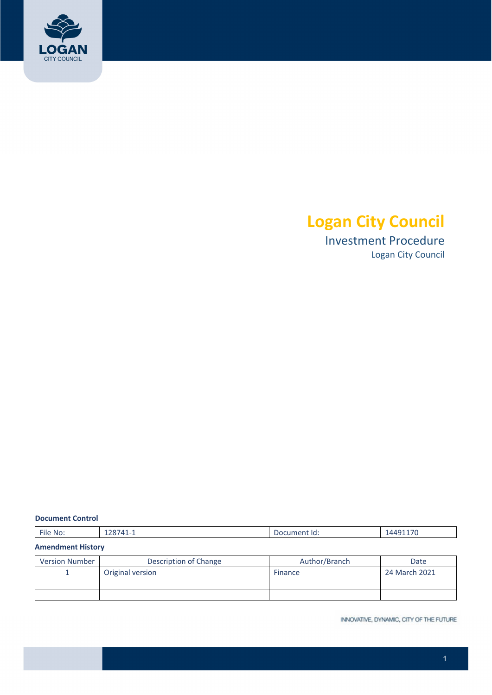

# **Logan City Council**

 Investment Procedure Logan City Council

#### **Document Control**

| $-$<br>$\Lambda \Lambda$<br>File<br>No.<br>--<br><u> ТД</u><br>. 10 °<br>.<br>-<br>______ |  |
|-------------------------------------------------------------------------------------------|--|
|-------------------------------------------------------------------------------------------|--|

#### **Amendment History**

| <b>Version Number</b> | Description of Change | Author/Branch | Date          |
|-----------------------|-----------------------|---------------|---------------|
|                       | Original version      | Finance       | 24 March 2021 |
|                       |                       |               |               |
|                       |                       |               |               |

INNOVATIVE, DYNAMIC, CITY OF THE FUTURE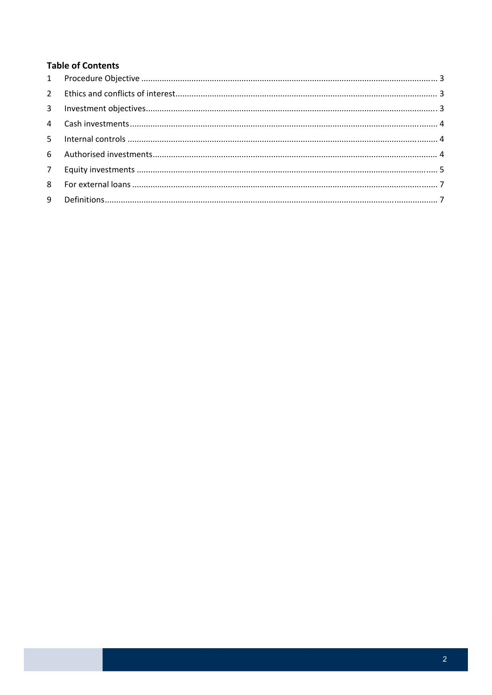# **Table of Contents**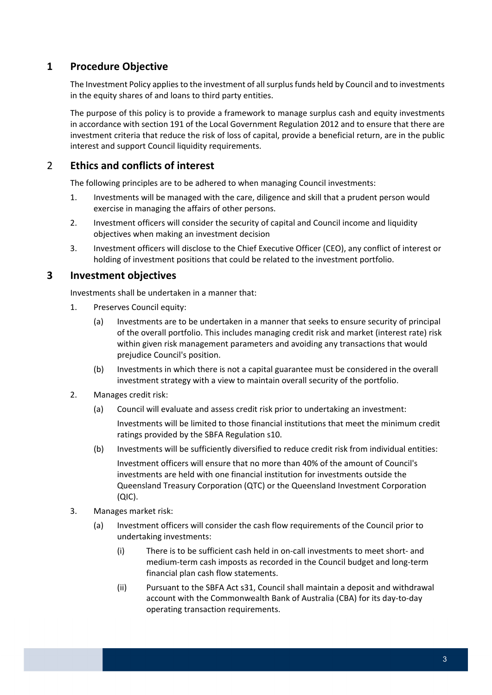# **1 Procedure Objective**

The Investment Policy applies to the investment of all surplus funds held by Council and to investments in the equity shares of and loans to third party entities.

 The purpose of this policy is to provide a framework to manage surplus cash and equity investments in accordance with section 191 of the Local Government Regulation 2012 and to ensure that there are investment criteria that reduce the risk of loss of capital, provide a beneficial return, are in the public interest and support Council liquidity requirements.

# 2 **Ethics and conflicts of interest**

The following principles are to be adhered to when managing Council investments:

- 1. Investments will be managed with the care, diligence and skill that a prudent person would exercise in managing the affairs of other persons.
- 2. Investment officers will consider the security of capital and Council income and liquidity objectives when making an investment decision
- 3. Investment officers will disclose to the Chief Executive Officer (CEO), any conflict of interest or holding of investment positions that could be related to the investment portfolio.

# **3 Investment objectives**

Investments shall be undertaken in a manner that:

- 1. Preserves Council equity:
	- (a) Investments are to be undertaken in a manner that seeks to ensure security of principal of the overall portfolio. This includes managing credit risk and market (interest rate) risk within given risk management parameters and avoiding any transactions that would prejudice Council's position.
	- (b) Investments in which there is not a capital guarantee must be considered in the overall investment strategy with a view to maintain overall security of the portfolio.
- 2. Manages credit risk:
	- (a) Council will evaluate and assess credit risk prior to undertaking an investment: Investments will be limited to those financial institutions that meet the minimum credit ratings provided by the SBFA Regulation s10.
	- (b) Investments will be sufficiently diversified to reduce credit risk from individual entities:

 Investment officers will ensure that no more than 40% of the amount of Council's investments are held with one financial institution for investments outside the Queensland Treasury Corporation (QTC) or the Queensland Investment Corporation (QIC).

- 3. Manages market risk:
	- (a) Investment officers will consider the cash flow requirements of the Council prior to undertaking investments:
		- (i) There is to be sufficient cash held in on‐call investments to meet short‐ and medium‐term cash imposts as recorded in the Council budget and long‐term financial plan cash flow statements.
		- (ii) Pursuant to the SBFA Act s31, Council shall maintain a deposit and withdrawal account with the Commonwealth Bank of Australia (CBA) for its day‐to‐day operating transaction requirements.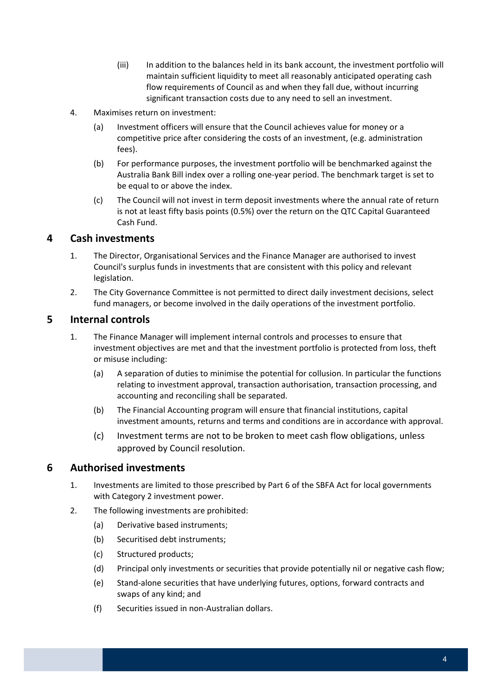- (iii) In addition to the balances held in its bank account, the investment portfolio will maintain sufficient liquidity to meet all reasonably anticipated operating cash flow requirements of Council as and when they fall due, without incurring significant transaction costs due to any need to sell an investment.
- 4. Maximises return on investment:
	- (a) Investment officers will ensure that the Council achieves value for money or a competitive price after considering the costs of an investment, (e.g. administration fees).
	- (b) For performance purposes, the investment portfolio will be benchmarked against the Australia Bank Bill index over a rolling one‐year period. The benchmark target is set to be equal to or above the index.
	- (c) The Council will not invest in term deposit investments where the annual rate of return is not at least fifty basis points (0.5%) over the return on the QTC Capital Guaranteed Cash Fund.

### **4 Cash investments**

- 1. The Director, Organisational Services and the Finance Manager are authorised to invest Council's surplus funds in investments that are consistent with this policy and relevant legislation.
- 2. The City Governance Committee is not permitted to direct daily investment decisions, select fund managers, or become involved in the daily operations of the investment portfolio.

### **5 Internal controls**

- 1. The Finance Manager will implement internal controls and processes to ensure that investment objectives are met and that the investment portfolio is protected from loss, theft or misuse including:
	- (a) A separation of duties to minimise the potential for collusion. In particular the functions relating to investment approval, transaction authorisation, transaction processing, and accounting and reconciling shall be separated.
	- (b) The Financial Accounting program will ensure that financial institutions, capital investment amounts, returns and terms and conditions are in accordance with approval.
	- (c) Investment terms are not to be broken to meet cash flow obligations, unless approved by Council resolution.

### **6 Authorised investments**

- 1. Investments are limited to those prescribed by Part 6 of the SBFA Act for local governments with Category 2 investment power.
- 2. The following investments are prohibited:
	- (a) Derivative based instruments;
	- (b) Securitised debt instruments;
	- (c) Structured products;
	- (d) Principal only investments or securities that provide potentially nil or negative cash flow;
	- (e) Stand‐alone securities that have underlying futures, options, forward contracts and swaps of any kind; and
	- (f) Securities issued in non‐Australian dollars.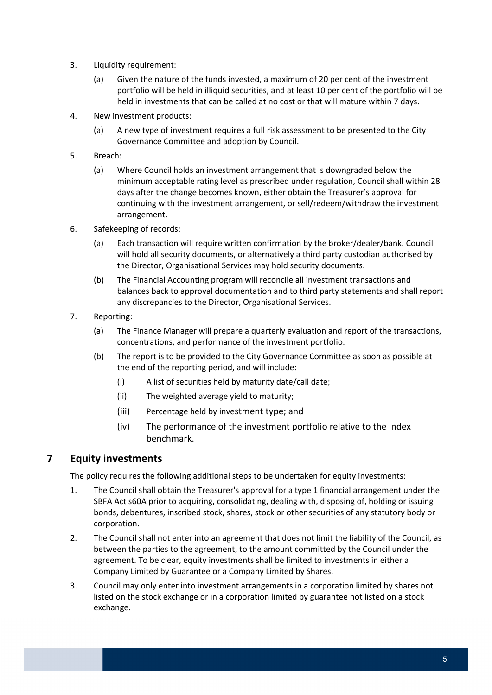- 3. Liquidity requirement:
	- (a) Given the nature of the funds invested, a maximum of 20 per cent of the investment portfolio will be held in illiquid securities, and at least 10 per cent of the portfolio will be held in investments that can be called at no cost or that will mature within 7 days.
- 4. New investment products:
	- (a) A new type of investment requires a full risk assessment to be presented to the City Governance Committee and adoption by Council.
- 5. Breach:
	- (a) Where Council holds an investment arrangement that is downgraded below the minimum acceptable rating level as prescribed under regulation, Council shall within 28 days after the change becomes known, either obtain the Treasurer's approval for continuing with the investment arrangement, or sell/redeem/withdraw the investment arrangement.
- 6. Safekeeping of records:
	- (a) Each transaction will require written confirmation by the broker/dealer/bank. Council will hold all security documents, or alternatively a third party custodian authorised by the Director, Organisational Services may hold security documents.
	- (b) The Financial Accounting program will reconcile all investment transactions and balances back to approval documentation and to third party statements and shall report any discrepancies to the Director, Organisational Services.
- 7. Reporting:
	- (a) The Finance Manager will prepare a quarterly evaluation and report of the transactions, concentrations, and performance of the investment portfolio.
	- (b) The report is to be provided to the City Governance Committee as soon as possible at the end of the reporting period, and will include:
		- (i) A list of securities held by maturity date/call date;
		- (ii) The weighted average yield to maturity;
		- (iii) Percentage held by investment type; and
		- (iv) The performance of the investment portfolio relative to the Index benchmark.

### **7 Equity investments**

The policy requires the following additional steps to be undertaken for equity investments:

- 1. The Council shall obtain the Treasurer's approval for a type 1 financial arrangement under the SBFA Act s60A prior to acquiring, consolidating, dealing with, disposing of, holding or issuing bonds, debentures, inscribed stock, shares, stock or other securities of any statutory body or corporation.
- 2. The Council shall not enter into an agreement that does not limit the liability of the Council, as between the parties to the agreement, to the amount committed by the Council under the agreement. To be clear, equity investments shall be limited to investments in either a Company Limited by Guarantee or a Company Limited by Shares.
- 3. Council may only enter into investment arrangements in a corporation limited by shares not listed on the stock exchange or in a corporation limited by guarantee not listed on a stock exchange.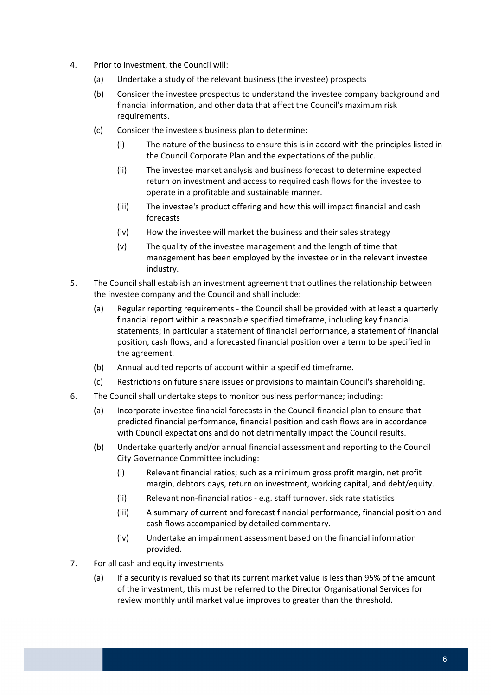- 4. Prior to investment, the Council will:
	- (a) Undertake a study of the relevant business (the investee) prospects
	- (b) Consider the investee prospectus to understand the investee company background and financial information, and other data that affect the Council's maximum risk requirements.
	- (c) Consider the investee's business plan to determine:
		- (i) The nature of the business to ensure this is in accord with the principles listed in the Council Corporate Plan and the expectations of the public.
		- (ii) The investee market analysis and business forecast to determine expected return on investment and access to required cash flows for the investee to operate in a profitable and sustainable manner.
		- (iii) The investee's product offering and how this will impact financial and cash forecasts
		- (iv) How the investee will market the business and their sales strategy
		- (v) The quality of the investee management and the length of time that management has been employed by the investee or in the relevant investee industry.
- 5. The Council shall establish an investment agreement that outlines the relationship between the investee company and the Council and shall include:
	- (a) Regular reporting requirements ‐ the Council shall be provided with at least a quarterly financial report within a reasonable specified timeframe, including key financial statements; in particular a statement of financial performance, a statement of financial position, cash flows, and a forecasted financial position over a term to be specified in the agreement.
	- (b) Annual audited reports of account within a specified timeframe.
	- (c) Restrictions on future share issues or provisions to maintain Council's shareholding.
- 6. The Council shall undertake steps to monitor business performance; including:
	- (a) Incorporate investee financial forecasts in the Council financial plan to ensure that predicted financial performance, financial position and cash flows are in accordance with Council expectations and do not detrimentally impact the Council results.
	- (b) Undertake quarterly and/or annual financial assessment and reporting to the Council City Governance Committee including:
		- (i) Relevant financial ratios; such as a minimum gross profit margin, net profit margin, debtors days, return on investment, working capital, and debt/equity.
		- (ii) Relevant non‐financial ratios ‐ e.g. staff turnover, sick rate statistics
		- (iii) A summary of current and forecast financial performance, financial position and cash flows accompanied by detailed commentary.
		- (iv) Undertake an impairment assessment based on the financial information provided.
- 7. For all cash and equity investments
	- (a) If a security is revalued so that its current market value is less than 95% of the amount of the investment, this must be referred to the Director Organisational Services for review monthly until market value improves to greater than the threshold.